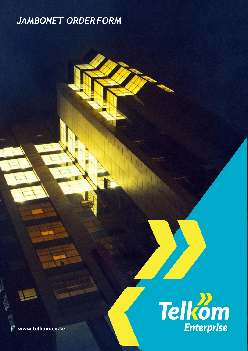# *JAMBONET ORDERFORM*



**[www.telkom.co.ke](http://www.telkom.co.ke/)**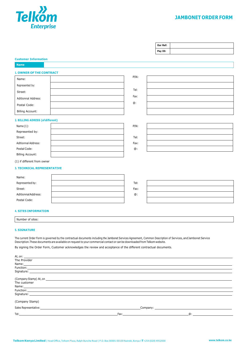

# **JAMBONET ORDER FORM**

| Our Ref: |  |
|----------|--|
| Pay ID:  |  |

#### **Customer Information**

**Name**

#### **1. OWNER OF THE CONTRACT**

| Name:                      |  |
|----------------------------|--|
| Represented by:            |  |
| Street:                    |  |
| <b>Aditionnal Address:</b> |  |
| Postal Code:               |  |
| <b>Billing Account:</b>    |  |

#### **2. BILLING ADRESS (ofdifferent)**

| Name(1):                   | PIN: |
|----------------------------|------|
| Represented by:            |      |
| Street:                    | Tel: |
| <b>Aditionnal Address:</b> | Fax: |
| Postal Code:               | @:   |
| <b>Billing Account:</b>    |      |

| PIN: |  |
|------|--|
|      |  |
| Tel: |  |
| Fax: |  |
| @:   |  |
|      |  |

| IN:  |  |
|------|--|
|      |  |
| Tel: |  |
| ax:  |  |
| @:   |  |

# (1) if different from owner

# **3. TECHNICAL REPRESENTATIVE**

| Name:               |      |
|---------------------|------|
| Represented by:     | Tel: |
| Street:             | Fax: |
| Aditionnal Address: | @:   |
| Postal Code:        |      |

| Tel: |  |
|------|--|
| Fax: |  |
| @:   |  |
|      |  |

#### **4. SITES INFORMATION**

| Number of sites: |  |  |
|------------------|--|--|
|------------------|--|--|

#### **5. SIGNATURE**

The current Order Form is governed by the contractual documents including the Jambonet Services Agreement, Common Description of Services, and Jambonet Service Description.These documents are available on request to your commercial contact or can be downloaded from Telkom website.

By signing the Order Form, Customer acknowledges the review and acceptance of the different contractual documents.

| At, on:                                                                                                                                                                                                                        |                                                                                                                                                                                                                                |                  |
|--------------------------------------------------------------------------------------------------------------------------------------------------------------------------------------------------------------------------------|--------------------------------------------------------------------------------------------------------------------------------------------------------------------------------------------------------------------------------|------------------|
| The Provider                                                                                                                                                                                                                   |                                                                                                                                                                                                                                |                  |
|                                                                                                                                                                                                                                |                                                                                                                                                                                                                                |                  |
| Function: <b>Example 2018</b>                                                                                                                                                                                                  |                                                                                                                                                                                                                                |                  |
|                                                                                                                                                                                                                                |                                                                                                                                                                                                                                |                  |
|                                                                                                                                                                                                                                |                                                                                                                                                                                                                                |                  |
| The customer                                                                                                                                                                                                                   |                                                                                                                                                                                                                                |                  |
|                                                                                                                                                                                                                                |                                                                                                                                                                                                                                |                  |
|                                                                                                                                                                                                                                |                                                                                                                                                                                                                                |                  |
| Signature: the contract of the contract of the contract of the contract of the contract of the contract of the contract of the contract of the contract of the contract of the contract of the contract of the contract of the |                                                                                                                                                                                                                                |                  |
| (Company Stamp)                                                                                                                                                                                                                |                                                                                                                                                                                                                                |                  |
|                                                                                                                                                                                                                                |                                                                                                                                                                                                                                |                  |
|                                                                                                                                                                                                                                | Fax: The contract of the contract of the contract of the contract of the contract of the contract of the contract of the contract of the contract of the contract of the contract of the contract of the contract of the contr | $\circledcirc$ : |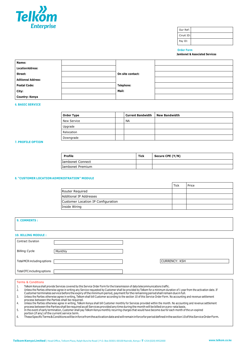

Our Ref: Ciruit ID: Pay ID:

#### **Order Form**

**Jambonet & Associated Services**

| Name:                      |                  |  |
|----------------------------|------------------|--|
| <b>Location Address:</b>   |                  |  |
| Street:                    | On site contact: |  |
| <b>Aditionnal Address:</b> |                  |  |
| <b>Postal Code:</b>        | Telephone:       |  |
| City:                      | Mail:            |  |
| Country: Kenya             |                  |  |

#### **6. BASIC SERVICE**

| Order Type  | <b>Current Bandwidth</b> | <b>New Bandwidth</b> |
|-------------|--------------------------|----------------------|
| New Service | <b>NA</b>                |                      |
| Upgrade     |                          |                      |
| Relocation  |                          |                      |
| Downgrade   |                          |                      |

#### **7. PROFILE OPTION**

| Profile          | Tick | Secure CPE (Y/N) |
|------------------|------|------------------|
| Jambonet Connect |      |                  |
| Jambonet Premium |      |                  |

#### **8. "CUSTOMER LOCATION ADMINISTRATION" MODULE**

|                                    | <b>Tick</b> | Price |
|------------------------------------|-------------|-------|
| Router Required                    |             |       |
| Additional IP Addresses            |             |       |
| Customer Location IP Configuration |             |       |
| Inside Wiring                      |             |       |

| <b>9. COMMENTS:</b>         |         |                      |
|-----------------------------|---------|----------------------|
|                             |         |                      |
| <b>10. BILLING MODULE:</b>  |         |                      |
| Contract Duration           |         |                      |
| <b>Billing Cycle</b>        | Monthly |                      |
| Total MCR including options |         | <b>CURRENCY: KSH</b> |
| Total OTC including options |         |                      |

#### Terms & Conditions

- 
- 1. Telkom Kenya shall provide Services covered by this Service Order Form for the transmission of data telecommunications traffic. 2. Unless the Parties otherwise agree in writing any Service requested by Customer shall be provided by Telkom for a minimum duration of 1 year from the activation date. If
- Customer terminates service before the expiry ofthe minimum period, paymentfor the remaining periodshall remain due in full.
- 
- 

Unless the Parties otherwise agree in writing, Telkom shall bill Customer according to the section 10 of this Service Order Form. No accounting and revenue settlement<br>process between the Parties shall be required.<br>4. Unles

- 
- portion (if any) of the current service term.
- 6. TheseSpecificTerms&Conditionswillbeinforcefromtheactivationdateandwill remaininforceforperioddefinedinthesection10ofthisServiceOrderForm.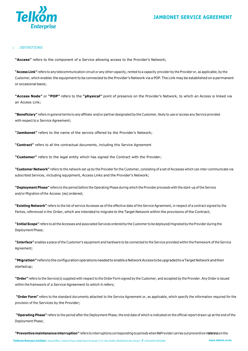

# 1 . DEFINITIONS

**"Access"** refers to the component of a Service allowing access to the Provider's Network;

**"Access Link"** refers to any telecommunication circuit or any other capacity, rented to a capacity provider by the Provider or, as applicable, by the Customer, which enables the equipment to be connected to the Provider's Network via a POP.The Link may be established on a permanent or occasional basis;

**"Access Node"** or **"POP"** refers to the **"physical"** point of presence on the Provider's Network, to which an Access is linked via an Access Link;

**"Beneficiary"** refers in general terms to any affiliate and/or partner designated by the Customer, likely to use or access any Service provided with respect to a Service Agreement;

**"Jambonet"** refers to the name of the service offered by the Provider's Network;

**"Contract"** refers to all the contractual documents, including this Service Agreement

**"Customer"** refers to the legal entity which has signed the Contract with the Provider;

**"Customer Network"** refers to the network set up by the Provider for the Customer, consisting of a set of Accesses which can inter-communicate via subscribed Services, including equipment, Access Links and the Provider's Network;

**"Deployment Phase"** refers to the period before the Operating Phase during which the Provider proceeds with the start-up of the Service and/or Migration of the Access (es) ordered;

**"Existing Network"** refers to the list of service Accesses as of the effective date of the Service Agreement, in respect of a contract signed by the Parties, referenced in the Order, which are intended to migrate to the Target Network within the provisions of the Contract;

**"Initial Scope"** refers to allthe Accesses and associated Services ordered by the Customer to be deployed/migrated by the Provider during the Deployment Phase;

**"Interface"** enables a piece of the Customer's equipment and hardware to be connected to the Service provided within the framework of the Service Agreement;

**"Migration"**refers totheconfigurationoperationsneededtoenableaNetworkAccess tobeupgradedtoaTargetNetworkandthen startedup;

**"Order"** refers to the Service(s) supplied with respect to the Order Form signed by the Customer, and accepted by the Provider. Any Order is issued within the framework of a Service Agreement to which it refers;

**"Order Form"** refers to the standard documents attached to the Service Agreement or, as applicable, which specify the information required for the provision of the Services by the Provider;

**"Operating Phase"** refers to the period after the Deployment Phase, the end date of which is indicated on the official report drawn up at the end of the Deployment Phase;

**"Preventivemaintenanceinterruption"**refers to interruptions corresponding toperiods whenthe Provider carries outpreventivemaintenance on the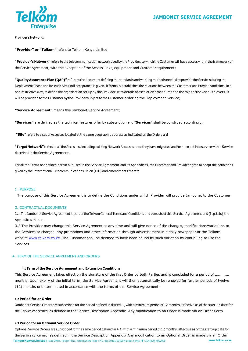

Provider's Network;

**"Provider" or "Telkom"** refers to Telkom Kenya Limited;

"Provider's Network" refers to the telecommunication network used by the Provider, to which the Customer will have access within the framework of the Service Agreement, with the exception of the Access Links, equipment and Customer equipment;

**"QualityAssurance Plan (QAP)"** refers to the document defining the standards and working methods needed to provide the Services during the Deployment Phase and for each Site until acceptance is given. It formally establishes the relations between the Customer and Provider and aims, in a non-restrictive way, to define the organisation set up by the Provider, with details of escalation procedures and the roles of the various players. It will be provided to the Customer by the Provider subject to the Customer ordering the Deployment Service;

**"Service Agreement"** means this Jambonet Service Agreement;

**"Services"** are defined as the technical features offer by subscription and "**Services**" shall be construed accordingly;

**"Site"** refers to a set of Accesses located at the same geographic address as indicated on the Order; and

**"TargetNetwork"** refers to all the Accesses, including existing Network Accesses once they have migrated and/or been putinto service within Service described in the Service Agreement.

For all the Terms not defined herein but used in the Service Agreement and its Appendices, the Customer and Provider agree to adopt the definitions given by the International Telecommunications Union (ITU) and amendments thereto.

#### 2 . PURPOSE

The purpose of this Service Agreement is to define the Conditions under which Provider will provide Jambonet to the Customer.

#### 3. CONTRACTUALDOCUMENTS

3.1 The Jambonet Service Agreement is part of the Telkom General Terms and Conditions and consists of this Service Agreement and (f applicable) the Appendices thereto.

3.2 The Provider may change this Service Agrement at any time and will give notice of the changes, modifications/variations to the Services or charges, any promotions and other information through advertisement in a daily newspaper or the Telkom website [www.telkom.co.ke.](http://www.telkom.co.ke/) The Customer shall be deemed to have been bound by such variation by continuing to use the Services.

#### 4. TERM OF THE SERVICE AGREEMENT AND ORDERS

#### **4.1 Term of the Service Agreement and Extension Conditions**

This Service Agreement takes effect on the signature of the first Order by both Parties and is concluded for a period of …………… months. Upon expiry of the initial term, the Service Agreement will then automatically be renewed for further periods of twelve (12) months until terminated in accordance with the terms of this Service Agreement.

#### **4.2 Period for anOrder**

Jambonet Service Orders are subscribed for the period defined in dause 4.1, with a minimum period of 12 months, effective as of the start-up date for the Service concerned, as defined in the Service Description Appendix. Any modification to an Order is made via an Order Form.

#### **4.3 Period for an Optional Service Orde**r

**TelkomKenyaLimited**|HeadOffice, TelkomPlaza, Ralph Bunche Road | P.O. Box 30301-00100Nairobi, Kenya I**T**+254 (020) 4952000 **[www.telkom.co.ke](http://www.telkom.co.ke/)** Optional Service Orders are subscribed for the same period defined in 4.1, with a minimum period of 12 months, effective as of the start-up date for the Service concerned, as defined in the Service Description Appendix.Any modification to an Optional Order is made via an Order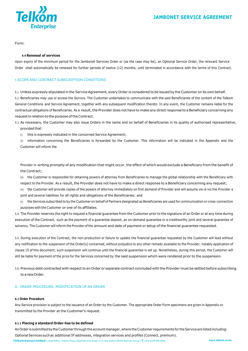

Form.

#### **4.4 Renewal of services**

Upon expiry of the minimum period for the Jambonet Services Order or (as the case may be), an Optional Service Order, the relevant Service Order shall automatically be renewed for further periods of twelve (12) months, until terminated in accordance with the terms of this Contract.

# 5 SCOPE AND CONTRACT SUBSCRIPTION CONDITIONS

5.1. Unless expressly stipulated in the Service Agreement, every Order is considered to be issued by the Customer on its own behalf. 5.2. Beneficiaries may use or access the Service. The Customer undertakes to communicate with the said Beneficiaries of the content of the Telkom General Conditions and Service Agreement, together with any subsequent modification thereto. In any event, the Customer remains liable for the contractual obligations of Beneficiaries. As a result, the Provider does not have to make any direct response to a Beneficiary concerning any request in relation to the purpose of the Contract.

- 5.3. As necessary, the Customer may also issue Orders in the name and on behalf of Beneficiaries in its quality of authorised representative, provided that:
	- (i) this is expressly indicated in the concerned Service Agreement;

(ii) information concerning the Beneficiaries is forwarded by the Customer. This information will be indicated in the Appendix and the Customer will inform the

Provider in writing promptly of any modification that might occur, the effect of which would exclude a Beneficiary from the benefit of the Contract;

(iii) the Customer is responsible for obtaining powers of attorney from Beneficiaries to manage the global relationship with the Beneficiary with respect to the Provider. As a result, the Provider does not have to make a direct response to a Beneficiary concerning any request;

(iv) the Customer will provide copies of the powers of attorney immediately on first demand of Provider and will assume vis-à-vis the Provider a joint and several liabilities for all rights and obligations of the Beneficiaries; and

(v) the Services subscribed to by the Customer on behalf of Partners designated as Beneficiaries are used for communication or cross-connection purposes with the Customer or one of its affiliates.

5.4. The Provider reserves the right to request a financial guarantee from the Customer prior to the signature of an Order or at any time during execution of the Contract, such as the payment of a guarantee deposit, an on-demand guarantee or a creditworthy joint and several guarantee of solvency. The Customer will inform the Provider ofthe amount and date of payment or setup of the financial guarantee requested.

5.5. During execution of the Contract, the non-production or failure to update the financial guarantee requested by the Customer will lead without any notification to the suspension of the Order(s) concerned, without prejudice to any other remedy available to the Provider, notably application of clause 15 of this document; such suspension will continue until the financial guarantee is set up. Nonetheless, during this period, the Customer will still be liable for payment of the price for the Services concerned by the said suspension which were rendered prior to the suspension.

5.6. Previous debt contracted with respect to an Order or separate contract concluded with the Provider must be settled before subscribing to anewOrder.

# 6. ORDER PROCEDURE, MODIFICATION OF AN ORDER

#### **6.1 Order Procedure**

Any Service provision is subject to the issuance of an Order by the Customer. The appropriate Order Form specimens are given in Appendix or transmitted by the Provider at the Customer's request.

#### **6.1.1 Placing a standard Order-has to be defined**

An Order is submitted by the Customer through the account manager, where the Customer requirements for the Service are listed including: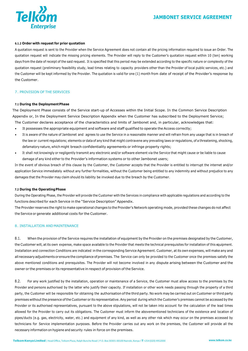



#### **6.1.2 Order with request for prior quotation**

A quotation request is sent to the Provider when the Service Agreement does not contain all the pricing information required to issue an Order. The quotation request will indicate the missing pricing elements. The Provider will reply to the Customer's quotation request within 10 (ten) working days from the date of receipt of the said request. It is specified that this period may be extended according to the specific nature or complexity of the quotation request (preliminary feasibility study, lead times relating to capacity providers other than the Provider of local public services, etc.) and the Customer will be kept informed by the Provider. The quotation is valid for one (1) month from date of receipt of the Provider's response by the Customer.

#### 7. PROVISION OF THE SERVICES

#### **7.1 During the DeploymentPhase**

The Deployment Phase consists of the Service start-up of Accesses within the Initial Scope. In the Common Service Description Appendix or, In the Deployment Service Description Appendix when the Customer has subscribed to the Deployment Service;

- The Customer declares acceptance of the characteristics and limits of Jambonet and, in particular, acknowledges that:
- It possesses the appropriate equipment and software and staff qualified to operate the Access correctly;
- It is aware of the nature of Jambonet and agrees to use the Service in a reasonable manner and will refrain from any usage that is in breach of the law or current regulations; elements or data of any kind that might contravene any prevailing laws or regulations, of a threatening, shocking, defamatory nature, which might breach confidentiality agreements or infringe property rights;
- It shall not knowingly or negligently transmit any electronic and/or software element via the Service that might cause or be liable to cause damage of any kind either to the Provider's information systems or to other Jambonet users;

In the event of obvious breach of this clause by the Customer, the Customer accepts that the Provider is entitled to interrupt the internet and/or application Service immediately without any further formalities, without the Customer being entitled to any indemnity and without prejudice to any damages that the Provider may claim should its liability be invoked due to the breach by the Customer.

#### **7.2 During the OperatingPhase**

During the Operating Phase, the Provider will provide the Customer with the Services in compliance with applicable regulations and according to the functions described for each Service in the "Service Description" Appendix.

The Provider reserves the right to make operational changes to the Provider's Network operating mode, provided these changes do not affect the Service or generate additional costs for the Customer.

# 8. INSTALLATION AND MAINTENANCE

8.1. When the provision of the Service requires the installation of equipment by the Provider on the premises designated by the Customer, the Customer will, atits own expense, make space available to the Provider that meets the technical prerequisites for installation of this equipment. Installation and connection Conditions are indicated in the corresponding Service Agreement. Customer, at its own expenses, will make any and all necessary adjustments or ensure the compliance of premises. The Service can only be provided to the Customer once the premises satisfy the above mentioned conditions and prerequisites. The Provider will not become involved in any dispute arising between the Customer and the owner or the premises or its representative in respect of provision of the Service.

8.2. For any work justified by the installation, operation or maintenance of a Service, the Customer must allow access to the premises by the Provider and persons authorised by the latter who justify their capacity. If installation or other work needs passing through the property of a third party, the Customer will be responsible for obtaining the authorisation ofthe third party. No work may be carried out on Customer or third party premises withoutthe presence ofthe Customer or its representative.Any period during which the Customer's premises cannot be accessed by the Provider or its authorised representatives, pursuant to the above stipulations, will not be taken into account for the calculation of the lead times allowed for the Provider to carry out its obligations. The Customer must inform the abovementioned technicians of the existence and location of pipes/ducts (e.g. gas, electricity, water, etc.) and equipment of any kind, as well as any other risk which may occur on the premises accessed by technicians for Service implementation purposes. Before the Provider carries out any work on the premises, the Customer will provide all the necessary information on hygiene and security rules in force on the premises.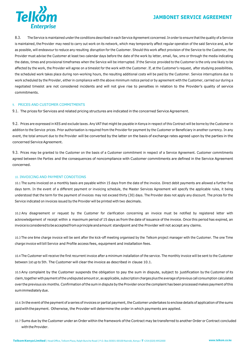# **JAMBONET SERVICE AGREEMENT**



8.3. The Service is maintained under the conditions described in each Service Agreement concerned. In order to ensure thatthe quality of a Service is maintained, the Provider may need to carry out work on its network, which may temporarily affect regular operation of the said Service and, as far as possible, will endeavour to reduce any resulting disruption for the Customer. Should this work affect provision of the Service to the Customer, the Provider must advise the Customer at least two calendar days before the date of the work by letter, email, fax, sms or through the media indicating the dates, times and provisional timeframes when the Service will be interrupted. If the Service provided to the Customer is the only one likely to be affected by the work, the Provider will agree on a timeslot for the work with the Customer. If, at the Customer's request, after studying possibilities, the scheduled work takes place during non-working hours, the resulting additional costs will be paid by the Customer. Service interruptions due to work scheduled by the Provider, either in compliance with the above minimum notice period or by agreement with the Customer, carried our during a negotiated timeslot are not considered incidents and will not give rise to penalties in relation to the Provider's quality of service commitments.

#### 9. PRICES AND CUSTOMER COMMITMENTS

9.1. The prices for Services and related pricing structures are indicated in the concerned Service Agreement.

9.2. Prices are expressed in KES and exclude taxes. Any VAT that might be payable in Kenya in respect of this Contract will be borne by the Customer in addition to the Service prices. Prior authorisation is required from the Provider for payment by the Customer or Beneficiary in another currency. In any event, the total amount due to the Provider will be converted by the latter on the basis of exchange rates agreed upon by the parties in the concerned Service Agreement.

9.3. Prices may be granted to the Customer on the basis of a Customer commitment in respect of a Service Agreement. Customer commitments agreed between the Parties and the consequences of noncompliance with Customer commitments are defined in the Service Agreement concerned.

#### 10. INVOICING AND PAYMENT CONDITIONS

10.1 The sums invoiced on a monthly basis are payable within 15 days from the date of the invoice. Direct debit payments are allowed a further five days term. In the event of a different payment or invoicing schedule, the Master Services Agreement will specify the applicable rules, it being understood that the term for the payment of invoices may not exceed thirty (30) days. The Provider does not apply any discount. The prices for the Service indicated on invoices issued by the Provider will be printed with two decimals.

10.2 Any disagreement or request by the Customer for clarification concerning an invoice must be notified by registered letter with acknowledgement of receipt within a maximum period of 15 days as from the date of issuance of the invoice. Once this period has expired, an invoiceisconsideredtobeacceptedfromaprincipleandamount standpoint and the Provider will not accept any claims.

10.3 The one time charge invoice will be sent after the kick-off meeting organised by the Telkom project manager with the Customer. The one Time charge invoice will bill Service and Profile access fees, equipment and installation fees.

10.4 The Customer will receive the first recurrent invoice after a minimum installation of the service. The monthly invoice will be sent to the Customer between 1st up to 5th. The Customer will clear the invoice as described in clause 10.1.

10.5 Any complaint by the Customer suspends the obligation to pay the sum in dispute, subject to justification by the Customer of its claim,together with payment ofthe undisputed amount or, as applicable, subscription charges plus the average ofprevious call consumption calculated over the previous six months. Confirmation ofthe sum in dispute by the Provider once the complaint has been processed makes payment ofthis sumimmediatelydue.

10.6 In the event of the payment of a series of invoices or partial payment, the Customer undertakes to enclose details of application of the sums paidwiththepayment. Otherwise, the Provider will determine the order in which payments are applied.

10.7 Sums due by the Customer under an Order within the framework of the Contract may be transferred to another Order or Contract concluded with the Provider.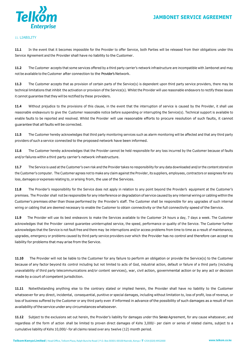

# 11. LIABILITY

**11.1** In the event that it becomes impossible for the Provider to offer Service, both Parties will be released from their obligations under this Service Agreement and the Provider shall have no liability to the Customer.

**11.2** The Customer accepts that some services offered by a third party carrier's network infrastructure are incompatible with Jambonet and may not be available to the Customer after connection to the Provider's Network.

**11.3** The Customer accepts that as provision of certain parts of the Service(s) is dependent upon third party service providers, there may be technical limitations that inhibit the activation or provision of the Service(s). Whilst the Provider will use reasonable endeavors to rectify these issues it cannot guarantee that they will be rectified by these providers.

**11.4** Without prejudice to the provisions of this clause, in the event that the interruption of service is caused by the Provider, it shall use reasonable endeavours to give the Customer reasonable notice before suspending or interrupting the Service(s). Technical support is available to enable faults to be reported and resolved. Whilst the Provider will use reasonable efforts to procure resolution of such faults, it cannot guarantee that all faults will be corrected.

**11.5** The Customer hereby acknowledges that third party monitoring services such as alarm monitoring will be affected and that any third party providers of such a service connected to the proposed network have been informed.

**11.6** The Customer hereby acknowledges that the Provider cannot be held responsible for any loss incurred by the Customer because of faults and/or failures within a third party carrier's network infrastructure.

**11.7** The Service is used at the Customer's own risk and the Provider takes no responsibility for any data downloaded and/or the content stored on the Customer's computer. The Customer agrees not to make any claim against the Provider, its suppliers, employees, contractors or assignees for any loss, damages or expenses relating to, or arising from, the use of the Services.

11.8 The Provider's responsibility for the Service does not apply in relation to any point beyond the Provider's equipment at the Customer's premises. The Provider shall not be responsible for any interference or degradation of service caused by any internal wiring or cabling within the Customer's premises other than those performed by the Provider's staff. The Customer shall be responsible for any upgrades of such internal wiring or cabling that are deemed necessary to enable the Customer to obtain connectivity or the full connectivity speed of the Service.

**11.9** The Provider will use its best endeavors to make the Services available to the Customer 24 hours a day, 7 days a week. The Customer acknowledges that the Provider cannot guarantee uninterrupted service, the speed, performance or quality of the Service. The Customer further acknowledges that the Service is not fault free and there may be interruptions and/or access problems from time to time as a result of maintenance, upgrades, emergency or problems caused by third party service providers over which the Provider has no control and therefore can accept no liability for problems that may arise from the Service.

**11.10** The Provider will not be liable to the Customer for any failure to perform an obligation or provide the Service(s) to the Customer because of any factor beyond its control including but not limited to acts of God, industrial action, default or failure of a third party (including unavailability of third party telecommunications and/or content services), war, civil action, governmental action or by any act or decision made by a court of competent jurisdiction.

**11.11** Notwithstanding anything else to the contrary stated or implied herein, the Provider shall have no liability to the Customer whatsoever for any direct, incidental, consequential, punitive or special damages, including without limitation to, loss of profit, loss of revenue, or loss of business suffered by the Customer or any third party even if informed in advance of the possibility of such damages as a result of non availability of the service under any circumstances whatsoever.

**11.12** Subject to the exclusions set out herein, the Provider's liability for damages under this Service Agreement, for any cause whatsoever, and regardless of the form of action shall be limited to proven direct damages of Kshs 3,000/- per claim or series of related claims, subject to a cumulative liability of Kshs 10,000/- for all claims raised over any twelve (12) month period.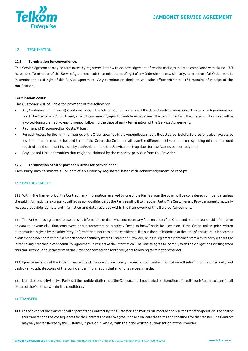

## 12 TERMINATION

# **12.1 Termination for convenience.**

This Service Agreement may be terminated by registered letter with acknowledgement of receipt notice, subject to compliance with clause 13.3 hereunder. Termination of this Service Agreement leads to termination as of right of any Orders in process. Similarly, termination of all Orders results in termination as of right of this Service Agreement. Any termination decision will take effect within six (6) months of receipt of the notification.

#### **Termination costs:**

The Customer will be liable for payment of the following:

- Any Customer commitment(s) still due: should the total amount invoiced as ofthe date of early termination ofthis Service Agreement not reach the CustomercCommitment, an additional amount, equal to the difference between the commitment and the total amount invoiced will be invoiced during the firsttwo-month period following the date of early termination of the Service Agreement;
- Payment of Disconnection Costs/Prices;
- For each Access for the minimum period of the Order specified in the Appendices: should the actual period of a Service for a given Access be less than the minimum scheduled term of the Order, the Customer will owe the difference between the corresponding minimum amount required and the amount invoiced by the Provider since the Service start-up date for the Access concerned; and
- Any Leased Link indemnities that might be claimed by the capacity provider from the Provider.

#### **12.2 Termination of all or part of an Order for convenience**

Each Party may terminate all or part of an Order by registered letter with acknowledgement of receipt.

#### 13. CONFIDENTIALITY

13.1. Within the framework of the Contract, any information received by one of the Parties from the other will be considered confidential unless the said information is expressly qualified as non-confidential by the Party sending it to the other Party. The Customer and Provider agree to mutually respect the confidential nature of information and data received within the framework of this Service Agreement.

13.2. The Parties thus agree not to use the said information or data when not necessary for execution of an Order and not to release said information or data to anyone else than employees or subcontractors on a strictly "need to know" basis for execution of the Order, unless prior written authorisation is given by the other Party. Information is not considered confidential if it is in the public domain at the time of disclosure, if it becomes available at a later date without a breach of confidentiality by the Customer or Provider, or if it is legitimately obtained from a third party without the latter having breached a confidentiality agreement in respect of the information. The Parties agree to comply with the obligations arising from this clause throughout the term of the Order concerned and for three years following termination thereof.

13.3. Upon termination of the Order, irrespective of the reason, each Party, receiving confidential information will return it to the other Party and destroy any duplicate copies of the confidential information that might have been made.

13.4. Non-disclosurebythetwo Parties oftheconfidentialtermsoftheContractmustnot prejudice theoptionofferedtobothParties to transferall orpartoftheContract within the conditions.

# 14. TRANSFER

14.1. In the event of the transfer of all or part of the Contract by the Customer, the Parties will meet to analyse the transfer operation, the cost of this transfer and the consequences for the Contract and also to agree upon and validate the terms and conditions for the transfer. The Contract may only be transferred by the Customer, in part or in whole, with the prior written authorisation of the Provider.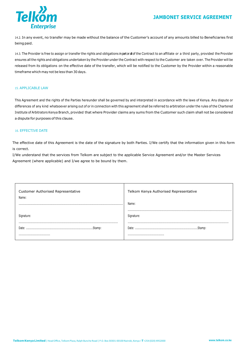# **JAMBONET SERVICE AGREEMENT**



14.2. In any event, no transfer may be made without the balance of the Customer's account of any amounts billed to Beneficiaries first being paid.

14.3. The Provider is free to assign or transfer the rights and obligations in patoral of the Contract to an affiliate or a third party, provided the Provider ensures all the rights and obligations undertaken by the Provider under the Contract with respect to the Customer are taken over. The Provider will be released from its obligations on the effective date of the transfer, which will be notified to the Customer by the Provider within a reasonable timeframe which may not be less than 30 days.

#### 15. APPLICABLE LAW

This Agreement and the rights of the Parties hereunder shall be governed by and interpreted in accordance with the laws of Kenya. Any dispute or differences of any kind whatsoever arising out of or in connection with this agreement shall be referred to arbitration under the rules of the Chartered Institute of Arbitrators Kenya Branch, provided that where Provider claims any sums from the Customer such claim shall not be considered a dispute for purposes of this clause.

# 16. EFFECTIVE DATE

The effective date of this Agreement is the date of the signature by both Parties. I/We certify that the information given in this form is correct.

I/We understand that the services from Telkom are subject to the applicable Service Agreement and/or the Master Services Agreement (where applicable) and I/we agree to be bound by them.

| Customer Authorised Representative | Telkom Kenya Authorised Representative |
|------------------------------------|----------------------------------------|
| Name:                              | Name:                                  |
|                                    | Signature:                             |
|                                    |                                        |